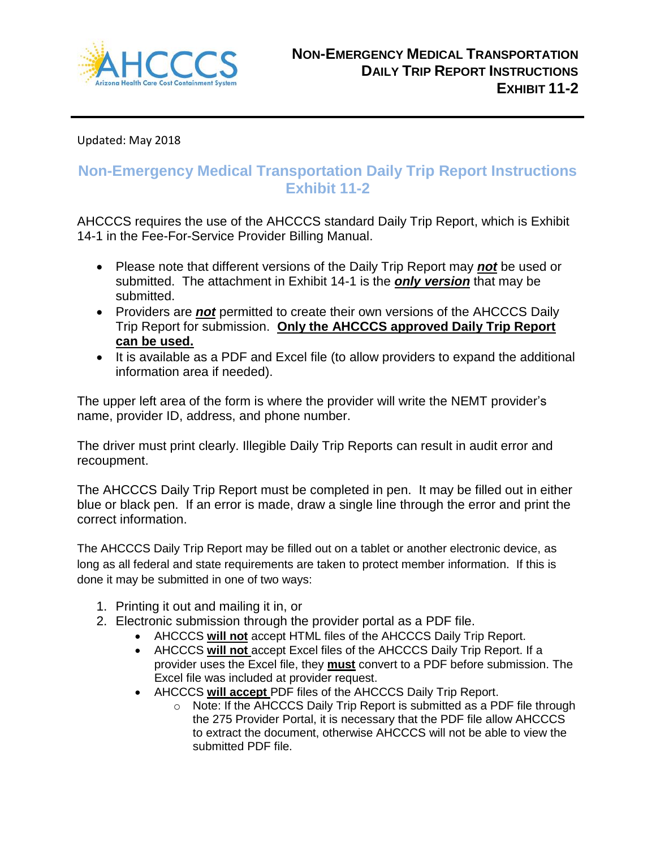

Updated: May 2018

# **Non-Emergency Medical Transportation Daily Trip Report Instructions Exhibit 11-2**

AHCCCS requires the use of the AHCCCS standard Daily Trip Report, which is Exhibit 14-1 in the Fee-For-Service Provider Billing Manual.

- Please note that different versions of the Daily Trip Report may *not* be used or submitted. The attachment in Exhibit 14-1 is the *only version* that may be submitted.
- Providers are *not* permitted to create their own versions of the AHCCCS Daily Trip Report for submission. **Only the AHCCCS approved Daily Trip Report can be used.**
- It is available as a PDF and Excel file (to allow providers to expand the additional information area if needed).

The upper left area of the form is where the provider will write the NEMT provider's name, provider ID, address, and phone number.

The driver must print clearly. Illegible Daily Trip Reports can result in audit error and recoupment.

The AHCCCS Daily Trip Report must be completed in pen. It may be filled out in either blue or black pen. If an error is made, draw a single line through the error and print the correct information.

The AHCCCS Daily Trip Report may be filled out on a tablet or another electronic device, as long as all federal and state requirements are taken to protect member information. If this is done it may be submitted in one of two ways:

- 1. Printing it out and mailing it in, or
- 2. Electronic submission through the provider portal as a PDF file.
	- AHCCCS **will not** accept HTML files of the AHCCCS Daily Trip Report.
	- AHCCCS **will not** accept Excel files of the AHCCCS Daily Trip Report. If a provider uses the Excel file, they **must** convert to a PDF before submission. The Excel file was included at provider request.
	- AHCCCS **will accept** PDF files of the AHCCCS Daily Trip Report.
		- $\circ$  Note: If the AHCCCS Daily Trip Report is submitted as a PDF file through the 275 Provider Portal, it is necessary that the PDF file allow AHCCCS to extract the document, otherwise AHCCCS will not be able to view the submitted PDF file.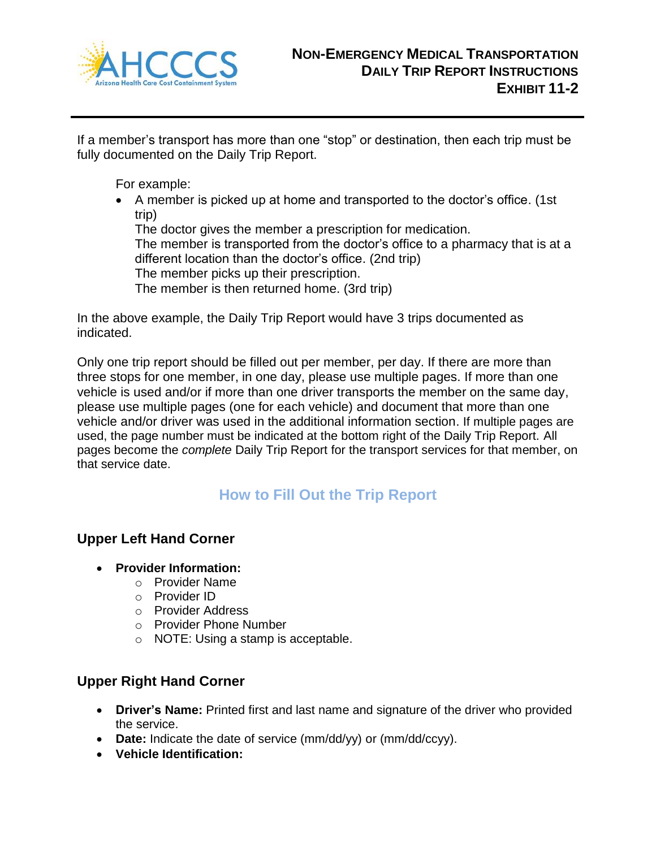

If a member's transport has more than one "stop" or destination, then each trip must be fully documented on the Daily Trip Report.

For example:

 A member is picked up at home and transported to the doctor's office. (1st trip)

The doctor gives the member a prescription for medication. The member is transported from the doctor's office to a pharmacy that is at a different location than the doctor's office. (2nd trip) The member picks up their prescription.

The member is then returned home. (3rd trip)

In the above example, the Daily Trip Report would have 3 trips documented as indicated.

Only one trip report should be filled out per member, per day. If there are more than three stops for one member, in one day, please use multiple pages. If more than one vehicle is used and/or if more than one driver transports the member on the same day, please use multiple pages (one for each vehicle) and document that more than one vehicle and/or driver was used in the additional information section. If multiple pages are used, the page number must be indicated at the bottom right of the Daily Trip Report. All pages become the *complete* Daily Trip Report for the transport services for that member, on that service date.

# **How to Fill Out the Trip Report**

# **Upper Left Hand Corner**

- **Provider Information:**
	- o Provider Name
	- o Provider ID
	- o Provider Address
	- o Provider Phone Number
	- o NOTE: Using a stamp is acceptable.

# **Upper Right Hand Corner**

- **Driver's Name:** Printed first and last name and signature of the driver who provided the service.
- **Date:** Indicate the date of service (mm/dd/yy) or (mm/dd/ccyy).
- **Vehicle Identification:**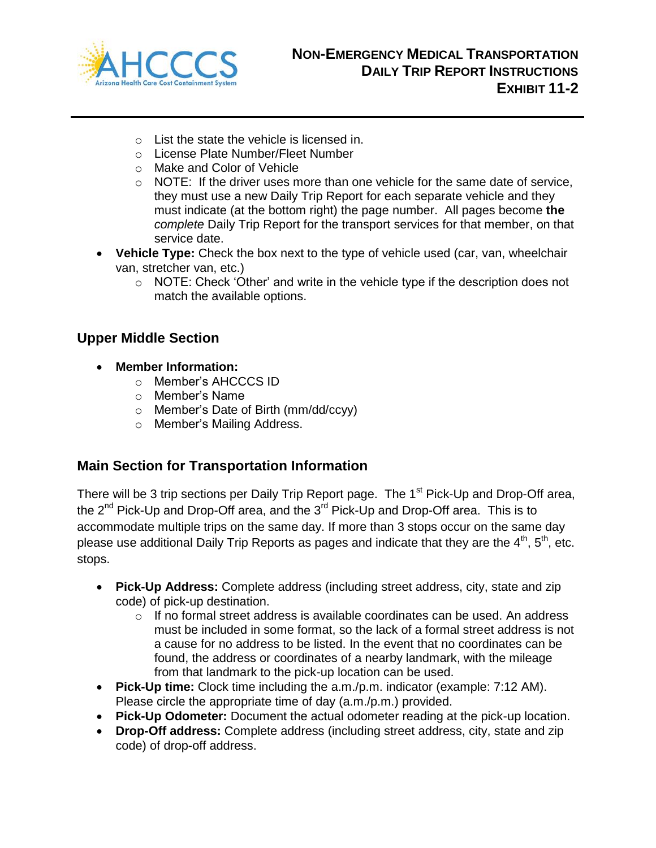

- o List the state the vehicle is licensed in.
- o License Plate Number/Fleet Number
- o Make and Color of Vehicle
- $\circ$  NOTE: If the driver uses more than one vehicle for the same date of service, they must use a new Daily Trip Report for each separate vehicle and they must indicate (at the bottom right) the page number. All pages become **the** *complete* Daily Trip Report for the transport services for that member, on that service date.
- **Vehicle Type:** Check the box next to the type of vehicle used (car, van, wheelchair van, stretcher van, etc.)
	- o NOTE: Check 'Other' and write in the vehicle type if the description does not match the available options.

# **Upper Middle Section**

- **Member Information:**
	- o Member's AHCCCS ID
	- o Member's Name
	- o Member's Date of Birth (mm/dd/ccyy)
	- o Member's Mailing Address.

# **Main Section for Transportation Information**

There will be 3 trip sections per Daily Trip Report page. The 1<sup>st</sup> Pick-Up and Drop-Off area, the  $2^{nd}$  Pick-Up and Drop-Off area, and the  $3^{rd}$  Pick-Up and Drop-Off area. This is to accommodate multiple trips on the same day. If more than 3 stops occur on the same day please use additional Daily Trip Reports as pages and indicate that they are the  $4<sup>th</sup>$ ,  $5<sup>th</sup>$ , etc. stops.

- **Pick-Up Address:** Complete address (including street address, city, state and zip code) of pick-up destination.
	- $\circ$  If no formal street address is available coordinates can be used. An address must be included in some format, so the lack of a formal street address is not a cause for no address to be listed. In the event that no coordinates can be found, the address or coordinates of a nearby landmark, with the mileage from that landmark to the pick-up location can be used.
- **Pick-Up time:** Clock time including the a.m./p.m. indicator (example: 7:12 AM). Please circle the appropriate time of day (a.m./p.m.) provided.
- **Pick-Up Odometer:** Document the actual odometer reading at the pick-up location.
- **Drop-Off address:** Complete address (including street address, city, state and zip code) of drop-off address.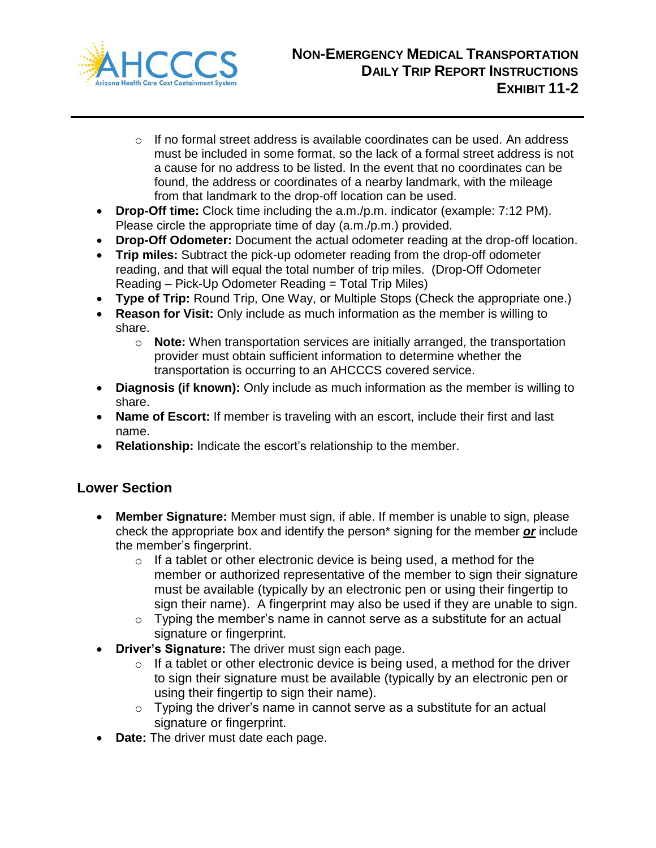

- $\circ$  If no formal street address is available coordinates can be used. An address must be included in some format, so the lack of a formal street address is not a cause for no address to be listed. In the event that no coordinates can be found, the address or coordinates of a nearby landmark, with the mileage from that landmark to the drop-off location can be used.
- **Drop-Off time:** Clock time including the a.m./p.m. indicator (example: 7:12 PM). Please circle the appropriate time of day (a.m./p.m.) provided.
- **Drop-Off Odometer:** Document the actual odometer reading at the drop-off location.
- **Trip miles:** Subtract the pick-up odometer reading from the drop-off odometer reading, and that will equal the total number of trip miles. (Drop-Off Odometer Reading – Pick-Up Odometer Reading = Total Trip Miles)
- **Type of Trip:** Round Trip, One Way, or Multiple Stops (Check the appropriate one.)
- **Reason for Visit:** Only include as much information as the member is willing to share.
	- o **Note:** When transportation services are initially arranged, the transportation provider must obtain sufficient information to determine whether the transportation is occurring to an AHCCCS covered service.
- **Diagnosis (if known):** Only include as much information as the member is willing to share.
- **Name of Escort:** If member is traveling with an escort, include their first and last name.
- **Relationship:** Indicate the escort's relationship to the member.

# **Lower Section**

- **Member Signature:** Member must sign, if able. If member is unable to sign, please check the appropriate box and identify the person\* signing for the member *or* include the member's fingerprint.
	- $\circ$  If a tablet or other electronic device is being used, a method for the member or authorized representative of the member to sign their signature must be available (typically by an electronic pen or using their fingertip to sign their name). A fingerprint may also be used if they are unable to sign.
	- $\circ$  Typing the member's name in cannot serve as a substitute for an actual signature or fingerprint.
- **Driver's Signature:** The driver must sign each page.
	- $\circ$  If a tablet or other electronic device is being used, a method for the driver to sign their signature must be available (typically by an electronic pen or using their fingertip to sign their name).
	- $\circ$  Typing the driver's name in cannot serve as a substitute for an actual signature or fingerprint.
- **Date:** The driver must date each page.